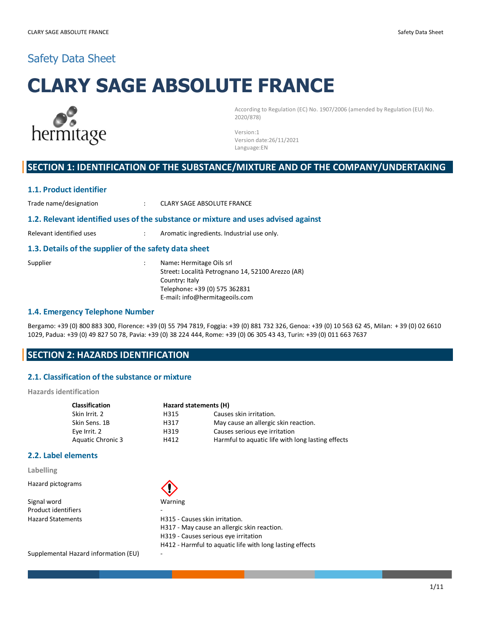# Safety Data Sheet

# **CLARY SAGE ABSOLUTE FRANCE**



According to Regulation (EC) No. 1907/2006 (amended by Regulation (EU) No. 2020/878)

Version:1 Version date:26/11/2021 Language:EN

## **SECTION 1: IDENTIFICATION OF THE SUBSTANCE/MIXTURE AND OF THE COMPANY/UNDERTAKING**

#### **1.1. Product identifier**

Trade name/designation  $\qquad \qquad : \qquad$  CLARY SAGE ABSOLUTE FRANCE

#### **1.2. Relevant identified uses of the substance or mixture and uses advised against**

Relevant identified uses : Aromatic ingredients. Industrial use only.

#### **1.3. Details of the supplier of the safety data sheet**

| Supplier | Name: Hermitage Oils srl                          |
|----------|---------------------------------------------------|
|          | Street: Località Petrognano 14, 52100 Arezzo (AR) |
|          | Country: Italy                                    |
|          | Telephone: +39 (0) 575 362831                     |
|          | E-mail: info@hermitageoils.com                    |

#### **1.4. Emergency Telephone Number**

Bergamo: +39 (0) 800 883 300, Florence: +39 (0) 55 794 7819, Foggia: +39 (0) 881 732 326, Genoa: +39 (0) 10 563 62 45, Milan: + 39 (0) 02 6610 1029, Padua: +39 (0) 49 827 50 78, Pavia: +39 (0) 38 224 444, Rome: +39 (0) 06 305 43 43, Turin: +39 (0) 011 663 7637

## **SECTION 2: HAZARDS IDENTIFICATION**

#### **2.1. Classification of the substance or mixture**

**Hazards identification**

| <b>Classification</b> | Hazard statements (H) |                                                   |  |
|-----------------------|-----------------------|---------------------------------------------------|--|
| Skin Irrit. 2         | H315                  | Causes skin irritation.                           |  |
| Skin Sens. 1B         | H317                  | May cause an allergic skin reaction.              |  |
| Eye Irrit. 2          | H319                  | Causes serious eye irritation                     |  |
| Aquatic Chronic 3     | H412                  | Harmful to aquatic life with long lasting effects |  |

#### **2.2. Label elements**

**Labelling**

Hazard pictograms

Signal word Warning Product identifiers



Hazard Statements **H315** - Causes skin irritation.

H317 - May cause an allergic skin reaction.

- H319 Causes serious eye irritation
- H412 Harmful to aquatic life with long lasting effects

Supplemental Hazard information (EU) -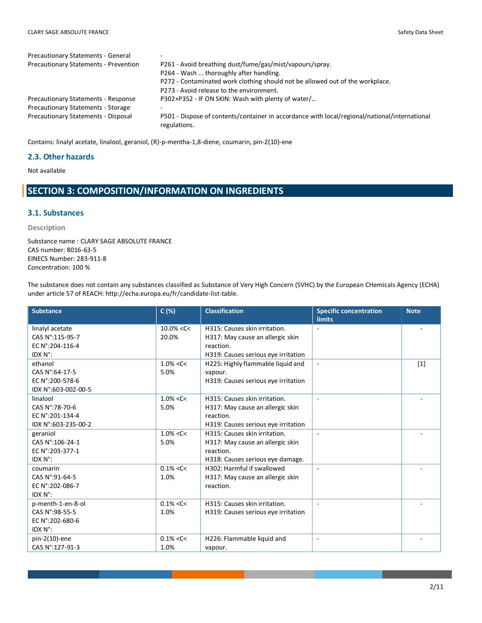| <b>Precautionary Statements - General</b>    | <b>1</b>                                                                                                      |
|----------------------------------------------|---------------------------------------------------------------------------------------------------------------|
| <b>Precautionary Statements - Prevention</b> | P261 - Avoid breathing dust/fume/gas/mist/vapours/spray.                                                      |
|                                              | P264 - Wash  thoroughly after handling.                                                                       |
|                                              | P272 - Contaminated work clothing should not be allowed out of the workplace.                                 |
|                                              | P273 - Avoid release to the environment.                                                                      |
| <b>Precautionary Statements - Response</b>   | P302+P352 - IF ON SKIN: Wash with plenty of water/                                                            |
| <b>Precautionary Statements - Storage</b>    |                                                                                                               |
| Precautionary Statements - Disposal          | P501 - Dispose of contents/container in accordance with local/regional/national/international<br>regulations. |

Contains: linalyl acetate, linalool, geraniol, (R)-p-mentha-1,8-diene, coumarin, pin-2(10)-ene

#### **2.3. Other hazards**

Not available

## **SECTION 3: COMPOSITION/INFORMATION ON INGREDIENTS**

#### **3.1. Substances**

#### **Description**

Substance name : CLARY SAGE ABSOLUTE FRANCE CAS number: 8016-63-5 EINECS Number: 283-911-8 Concentration: 100 %

The substance does not contain any substances classified as Substance of Very High Concern (SVHC) by the European CHemicals Agency (ECHA) under article 57 of REACH: http://echa.europa.eu/fr/candidate-list-table.

| <b>Substance</b>    | C(%)           | <b>Classification</b>               | <b>Specific concentration</b><br><b>limits</b> | <b>Note</b>       |
|---------------------|----------------|-------------------------------------|------------------------------------------------|-------------------|
| linalyl acetate     | $10.0\% < C <$ | H315: Causes skin irritation.       |                                                |                   |
| CAS N°:115-95-7     | 20.0%          | H317: May cause an allergic skin    |                                                |                   |
| EC N°:204-116-4     |                | reaction.                           |                                                |                   |
| IDX N°:             |                | H319: Causes serious eye irritation |                                                |                   |
| ethanol             | $1.0\% < C <$  | H225: Highly flammable liquid and   | $\blacksquare$                                 | $\lceil 1 \rceil$ |
| CAS N°:64-17-5      | 5.0%           | vapour.                             |                                                |                   |
| EC N°:200-578-6     |                | H319: Causes serious eye irritation |                                                |                   |
| IDX N°:603-002-00-5 |                |                                     |                                                |                   |
| linalool            | $1.0\% < C <$  | H315: Causes skin irritation.       | $\overline{a}$                                 |                   |
| CAS N°:78-70-6      | 5.0%           | H317: May cause an allergic skin    |                                                |                   |
| EC N°:201-134-4     |                | reaction.                           |                                                |                   |
| IDX N°:603-235-00-2 |                | H319: Causes serious eye irritation |                                                |                   |
| geraniol            | $1.0\% < C <$  | H315: Causes skin irritation.       | $\blacksquare$                                 |                   |
| CAS N°:106-24-1     | 5.0%           | H317: May cause an allergic skin    |                                                |                   |
| EC N°:203-377-1     |                | reaction.                           |                                                |                   |
| IDX N°:             |                | H318: Causes serious eye damage.    |                                                |                   |
| coumarin            | $0.1\% < C <$  | H302: Harmful if swallowed          |                                                |                   |
| CAS N°:91-64-5      | 1.0%           | H317: May cause an allergic skin    |                                                |                   |
| EC N°:202-086-7     |                | reaction.                           |                                                |                   |
| IDX N°:             |                |                                     |                                                |                   |
| p-menth-1-en-8-ol   | $0.1\% < C <$  | H315: Causes skin irritation.       |                                                |                   |
| CAS N°:98-55-5      | 1.0%           | H319: Causes serious eye irritation |                                                |                   |
| EC N°:202-680-6     |                |                                     |                                                |                   |
| IDX N°:             |                |                                     |                                                |                   |
| $pin-2(10)$ -ene    | $0.1\% < C <$  | H226: Flammable liquid and          | $\blacksquare$                                 |                   |
| CAS N°:127-91-3     | 1.0%           | vapour.                             |                                                |                   |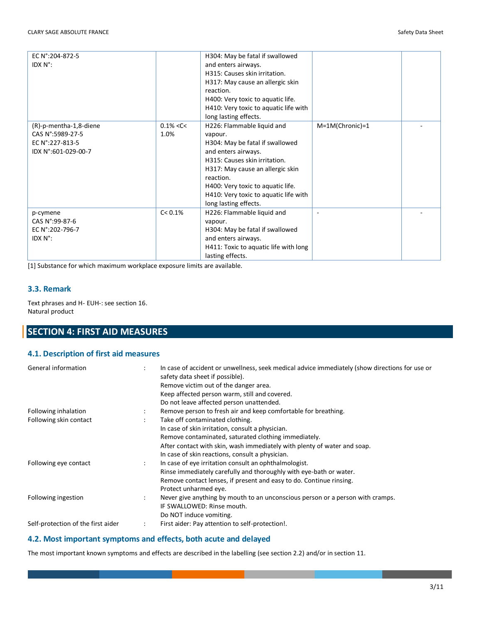| EC N°:204-872-5        |               | H304: May be fatal if swallowed       |                 |  |
|------------------------|---------------|---------------------------------------|-----------------|--|
| IDX N°:                |               | and enters airways.                   |                 |  |
|                        |               | H315: Causes skin irritation.         |                 |  |
|                        |               | H317: May cause an allergic skin      |                 |  |
|                        |               | reaction.                             |                 |  |
|                        |               | H400: Very toxic to aquatic life.     |                 |  |
|                        |               | H410: Very toxic to aquatic life with |                 |  |
|                        |               | long lasting effects.                 |                 |  |
| (R)-p-mentha-1,8-diene | $0.1\% < C <$ | H226: Flammable liquid and            | M=1M(Chronic)=1 |  |
| CAS N°:5989-27-5       | 1.0%          | vapour.                               |                 |  |
| EC N°:227-813-5        |               | H304: May be fatal if swallowed       |                 |  |
| IDX N°:601-029-00-7    |               | and enters airways.                   |                 |  |
|                        |               | H315: Causes skin irritation.         |                 |  |
|                        |               | H317: May cause an allergic skin      |                 |  |
|                        |               | reaction.                             |                 |  |
|                        |               | H400: Very toxic to aquatic life.     |                 |  |
|                        |               | H410: Very toxic to aquatic life with |                 |  |
|                        |               | long lasting effects.                 |                 |  |
| p-cymene               | C < 0.1%      | H226: Flammable liquid and            | ٠               |  |
| CAS N°:99-87-6         |               | vapour.                               |                 |  |
| EC N°:202-796-7        |               | H304: May be fatal if swallowed       |                 |  |
| IDX N°:                |               | and enters airways.                   |                 |  |
|                        |               | H411: Toxic to aquatic life with long |                 |  |
|                        |               | lasting effects.                      |                 |  |

[1] Substance for which maximum workplace exposure limits are available.

#### **3.3. Remark**

Text phrases and H- EUH-: see section 16. Natural product

# **SECTION 4: FIRST AID MEASURES**

#### **4.1. Description of first aid measures**

| General information                | $\ddot{\phantom{a}}$ | In case of accident or unwellness, seek medical advice immediately (show directions for use or<br>safety data sheet if possible).<br>Remove victim out of the danger area.<br>Keep affected person warm, still and covered.<br>Do not leave affected person unattended. |
|------------------------------------|----------------------|-------------------------------------------------------------------------------------------------------------------------------------------------------------------------------------------------------------------------------------------------------------------------|
| Following inhalation               | $\ddot{\phantom{a}}$ | Remove person to fresh air and keep comfortable for breathing.                                                                                                                                                                                                          |
| Following skin contact             |                      | Take off contaminated clothing.                                                                                                                                                                                                                                         |
|                                    |                      | In case of skin irritation, consult a physician.                                                                                                                                                                                                                        |
|                                    |                      | Remove contaminated, saturated clothing immediately.                                                                                                                                                                                                                    |
|                                    |                      | After contact with skin, wash immediately with plenty of water and soap.                                                                                                                                                                                                |
|                                    |                      | In case of skin reactions, consult a physician.                                                                                                                                                                                                                         |
| Following eye contact              | ÷                    | In case of eye irritation consult an ophthalmologist.                                                                                                                                                                                                                   |
|                                    |                      | Rinse immediately carefully and thoroughly with eye-bath or water.                                                                                                                                                                                                      |
|                                    |                      | Remove contact lenses, if present and easy to do. Continue rinsing.                                                                                                                                                                                                     |
|                                    |                      | Protect unharmed eye.                                                                                                                                                                                                                                                   |
| Following ingestion                | $\ddot{\phantom{a}}$ | Never give anything by mouth to an unconscious person or a person with cramps.                                                                                                                                                                                          |
|                                    |                      | IF SWALLOWED: Rinse mouth.                                                                                                                                                                                                                                              |
|                                    |                      | Do NOT induce vomiting.                                                                                                                                                                                                                                                 |
| Self-protection of the first aider | $\ddot{\phantom{a}}$ | First aider: Pay attention to self-protection!.                                                                                                                                                                                                                         |

## **4.2. Most important symptoms and effects, both acute and delayed**

The most important known symptoms and effects are described in the labelling (see section 2.2) and/or in section 11.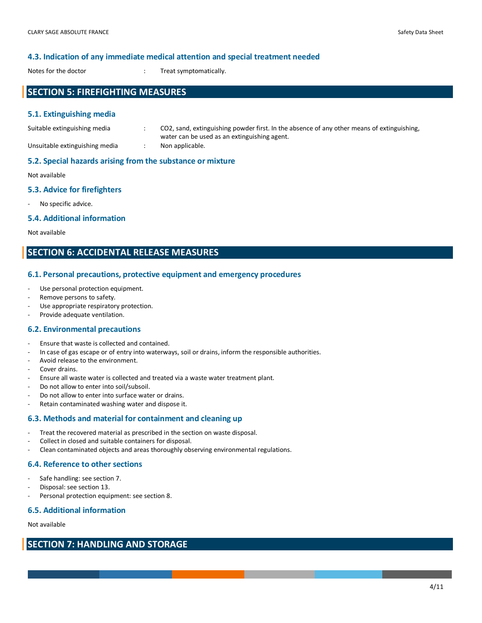#### **4.3. Indication of any immediate medical attention and special treatment needed**

Notes for the doctor  $\cdot$  in Treat symptomatically.

## **SECTION 5: FIREFIGHTING MEASURES**

#### **5.1. Extinguishing media**

| Suitable extinguishing media   | CO2, sand, extinguishing powder first. In the absence of any other means of extinguishing, |
|--------------------------------|--------------------------------------------------------------------------------------------|
| Unsuitable extinguishing media | water can be used as an extinguishing agent.<br>Non applicable.                            |

#### **5.2. Special hazards arising from the substance or mixture**

Not available

#### **5.3. Advice for firefighters**

- No specific advice.

#### **5.4. Additional information**

Not available

## **SECTION 6: ACCIDENTAL RELEASE MEASURES**

#### **6.1. Personal precautions, protective equipment and emergency procedures**

- Use personal protection equipment.
- Remove persons to safety.
- Use appropriate respiratory protection.
- Provide adequate ventilation.

#### **6.2. Environmental precautions**

- Ensure that waste is collected and contained.
- In case of gas escape or of entry into waterways, soil or drains, inform the responsible authorities.
- Avoid release to the environment.
- Cover drains.
- Ensure all waste water is collected and treated via a waste water treatment plant.
- Do not allow to enter into soil/subsoil.
- Do not allow to enter into surface water or drains.
- Retain contaminated washing water and dispose it.

#### **6.3. Methods and material for containment and cleaning up**

- Treat the recovered material as prescribed in the section on waste disposal.
- Collect in closed and suitable containers for disposal.
- Clean contaminated objects and areas thoroughly observing environmental regulations.

#### **6.4. Reference to other sections**

- Safe handling: see section 7.
- Disposal: see section 13.
- Personal protection equipment: see section 8.

#### **6.5. Additional information**

Not available

## **SECTION 7: HANDLING AND STORAGE**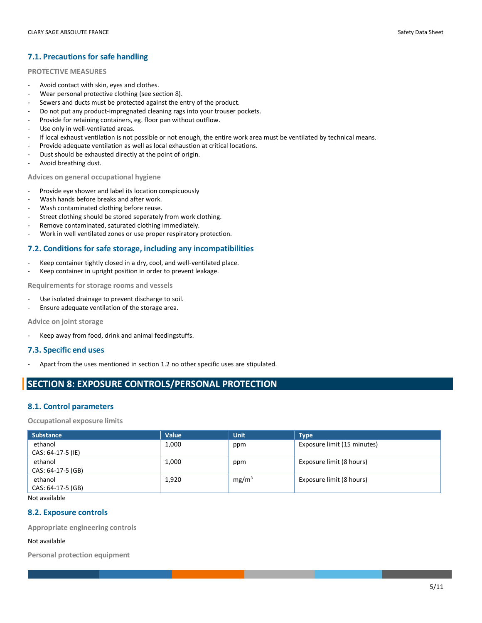## **7.1. Precautions for safe handling**

#### **PROTECTIVE MEASURES**

- Avoid contact with skin, eyes and clothes.
- Wear personal protective clothing (see section 8).
- Sewers and ducts must be protected against the entry of the product.
- Do not put any product-impregnated cleaning rags into your trouser pockets.
- Provide for retaining containers, eg. floor pan without outflow.
- Use only in well-ventilated areas.
- If local exhaust ventilation is not possible or not enough, the entire work area must be ventilated by technical means.
- Provide adequate ventilation as well as local exhaustion at critical locations.
- Dust should be exhausted directly at the point of origin.
- Avoid breathing dust.

**Advices on general occupational hygiene**

- Provide eye shower and label its location conspicuously
- Wash hands before breaks and after work.
- Wash contaminated clothing before reuse.
- Street clothing should be stored seperately from work clothing.
- Remove contaminated, saturated clothing immediately.
- Work in well ventilated zones or use proper respiratory protection.

#### **7.2. Conditions for safe storage, including any incompatibilities**

- Keep container tightly closed in a dry, cool, and well-ventilated place.
- Keep container in upright position in order to prevent leakage.

**Requirements for storage rooms and vessels**

- Use isolated drainage to prevent discharge to soil.
- Ensure adequate ventilation of the storage area.

**Advice on joint storage**

Keep away from food, drink and animal feedingstuffs.

#### **7.3. Specific end uses**

Apart from the uses mentioned in section 1.2 no other specific uses are stipulated.

## **SECTION 8: EXPOSURE CONTROLS/PERSONAL PROTECTION**

#### **8.1. Control parameters**

**Occupational exposure limits**

| <b>Substance</b>  | Value | <b>Unit</b>       | <b>Type</b>                 |
|-------------------|-------|-------------------|-----------------------------|
| ethanol           | 1,000 | ppm               | Exposure limit (15 minutes) |
| CAS: 64-17-5 (IE) |       |                   |                             |
| ethanol           | 1,000 | ppm               | Exposure limit (8 hours)    |
| CAS: 64-17-5 (GB) |       |                   |                             |
| ethanol           | 1,920 | mg/m <sup>3</sup> | Exposure limit (8 hours)    |
| CAS: 64-17-5 (GB) |       |                   |                             |

Not available

#### **8.2. Exposure controls**

**Appropriate engineering controls**

#### Not available

**Personal protection equipment**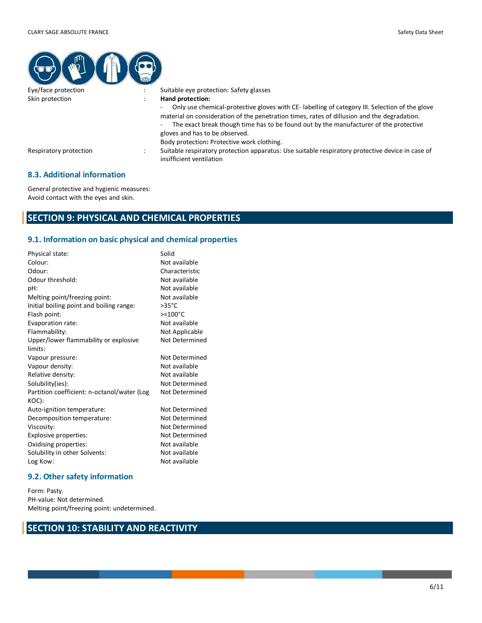| Eye/face protection    | Suitable eye protection: Safety glasses                                                                                                                                                                                                                                                                                                                                                              |
|------------------------|------------------------------------------------------------------------------------------------------------------------------------------------------------------------------------------------------------------------------------------------------------------------------------------------------------------------------------------------------------------------------------------------------|
| Skin protection        | Hand protection:<br>Only use chemical-protective gloves with CE- labelling of category III. Selection of the glove<br>٠<br>material on consideration of the penetration times, rates of dillusion and the degradation.<br>The exact break though time has to be found out by the manufacturer of the protective<br>۰<br>gloves and has to be observed.<br>Body protection: Protective work clothing. |
| Respiratory protection | Suitable respiratory protection apparatus: Use suitable respiratory protective device in case of<br>insifficient ventilation                                                                                                                                                                                                                                                                         |

#### **8.3. Additional information**

General protective and hygienic measures: Avoid contact with the eyes and skin.

# **SECTION 9: PHYSICAL AND CHEMICAL PROPERTIES**

## **9.1. Information on basic physical and chemical properties**

| Physical state:                             | Solid              |
|---------------------------------------------|--------------------|
| Colour:                                     | Not available      |
| Odour:                                      | Characteristic     |
| Odour threshold:                            | Not available      |
| pH:                                         | Not available      |
| Melting point/freezing point:               | Not available      |
| Initial boiling point and boiling range:    | $>35^{\circ}$ C    |
| Flash point:                                | $> = 100^{\circ}C$ |
| Evaporation rate:                           | Not available      |
| Flammability:                               | Not Applicable     |
| Upper/lower flammability or explosive       | Not Determined     |
| limits:                                     |                    |
| Vapour pressure:                            | Not Determined     |
| Vapour density:                             | Not available      |
| Relative density:                           | Not available      |
| Solubility(ies):                            | Not Determined     |
| Partition coefficient: n-octanol/water (Log | Not Determined     |
| KOC):                                       |                    |
| Auto-ignition temperature:                  | Not Determined     |
| Decomposition temperature:                  | Not Determined     |
| Viscosity:                                  | Not Determined     |
| Explosive properties:                       | Not Determined     |
| Oxidising properties:                       | Not available      |
| Solubility in other Solvents:               | Not available      |
| Log Kow:                                    | Not available      |
|                                             |                    |

#### **9.2. Other safety information**

Form: Pasty. PH-value: Not determined. Melting point/freezing point: undetermined.

## **SECTION 10: STABILITY AND REACTIVITY**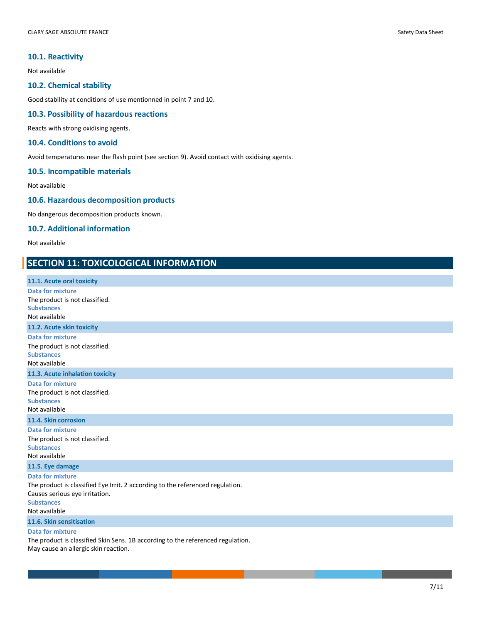#### **10.1. Reactivity**

Not available

#### **10.2. Chemical stability**

Good stability at conditions of use mentionned in point 7 and 10.

#### **10.3. Possibility of hazardous reactions**

Reacts with strong oxidising agents.

#### **10.4. Conditions to avoid**

Avoid temperatures near the flash point (see section 9). Avoid contact with oxidising agents.

## **10.5. Incompatible materials**

Not available

#### **10.6. Hazardous decomposition products**

No dangerous decomposition products known.

#### **10.7. Additional information**

Not available

## **SECTION 11: TOXICOLOGICAL INFORMATION**

| 11.1. Acute oral toxicity                                                                                                                                                         |
|-----------------------------------------------------------------------------------------------------------------------------------------------------------------------------------|
| <b>Data for mixture</b><br>The product is not classified.<br><b>Substances</b><br>Not available                                                                                   |
| 11.2. Acute skin toxicity                                                                                                                                                         |
| <b>Data for mixture</b><br>The product is not classified.<br><b>Substances</b><br>Not available                                                                                   |
| 11.3. Acute inhalation toxicity                                                                                                                                                   |
| <b>Data for mixture</b><br>The product is not classified.<br><b>Substances</b><br>Not available                                                                                   |
| 11.4. Skin corrosion                                                                                                                                                              |
| <b>Data for mixture</b><br>The product is not classified.<br><b>Substances</b><br>Not available                                                                                   |
| 11.5. Eye damage                                                                                                                                                                  |
| <b>Data for mixture</b><br>The product is classified Eye Irrit. 2 according to the referenced regulation.<br>Causes serious eye irritation.<br><b>Substances</b><br>Not available |
| 11.6. Skin sensitisation                                                                                                                                                          |
| <b>Data for mixture</b><br>The product is classified Skin Sens. 1B according to the referenced regulation.                                                                        |

May cause an allergic skin reaction.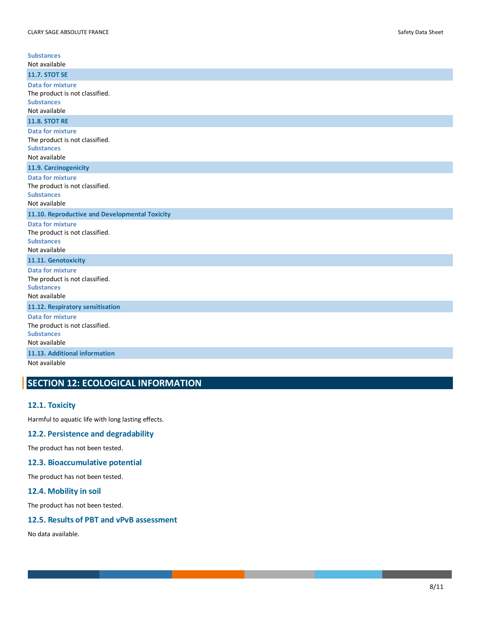| <b>Substances</b><br>Not available                                                              |
|-------------------------------------------------------------------------------------------------|
| <b>11.7. STOT SE</b>                                                                            |
| <b>Data for mixture</b><br>The product is not classified.<br><b>Substances</b><br>Not available |
| <b>11.8. STOT RE</b>                                                                            |
| <b>Data for mixture</b><br>The product is not classified.<br><b>Substances</b><br>Not available |
| 11.9. Carcinogenicity                                                                           |
| <b>Data for mixture</b><br>The product is not classified.<br><b>Substances</b><br>Not available |
| 11.10. Reproductive and Developmental Toxicity                                                  |
| <b>Data for mixture</b><br>The product is not classified.<br><b>Substances</b><br>Not available |
| 11.11. Genotoxicity                                                                             |
| <b>Data for mixture</b><br>The product is not classified.<br><b>Substances</b><br>Not available |
| 11.12. Respiratory sensitisation                                                                |
| <b>Data for mixture</b><br>The product is not classified.<br><b>Substances</b><br>Not available |
| 11.13. Additional information                                                                   |
| Not available                                                                                   |

# **SECTION 12: ECOLOGICAL INFORMATION**

#### **12.1. Toxicity**

Harmful to aquatic life with long lasting effects.

## **12.2. Persistence and degradability**

The product has not been tested.

## **12.3. Bioaccumulative potential**

The product has not been tested.

## **12.4. Mobility in soil**

The product has not been tested.

#### **12.5. Results of PBT and vPvB assessment**

No data available.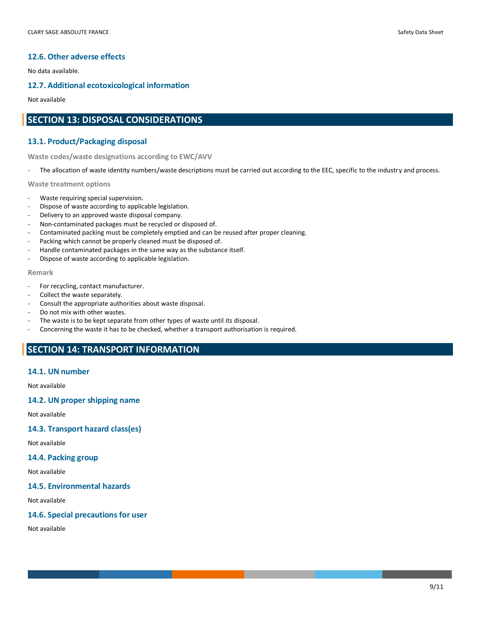#### **12.6. Other adverse effects**

No data available.

#### **12.7. Additional ecotoxicological information**

Not available

## **SECTION 13: DISPOSAL CONSIDERATIONS**

#### **13.1. Product/Packaging disposal**

**Waste codes/waste designations according to EWC/AVV**

The allocation of waste identity numbers/waste descriptions must be carried out according to the EEC, specific to the industry and process.

**Waste treatment options**

- Waste requiring special supervision.
- Dispose of waste according to applicable legislation.
- Delivery to an approved waste disposal company.
- Non-contaminated packages must be recycled or disposed of.
- Contaminated packing must be completely emptied and can be reused after proper cleaning.
- Packing which cannot be properly cleaned must be disposed of.
- Handle contaminated packages in the same way as the substance itself.
- Dispose of waste according to applicable legislation.

#### **Remark**

- For recycling, contact manufacturer.
- Collect the waste separately.
- Consult the appropriate authorities about waste disposal.
- Do not mix with other wastes.
- The waste is to be kept separate from other types of waste until its disposal.
- Concerning the waste it has to be checked, whether a transport authorisation is required.

## **SECTION 14: TRANSPORT INFORMATION**

#### **14.1. UN number**

Not available

#### **14.2. UN proper shipping name**

Not available

#### **14.3. Transport hazard class(es)**

Not available

#### **14.4. Packing group**

Not available

#### **14.5. Environmental hazards**

Not available

#### **14.6. Special precautions for user**

Not available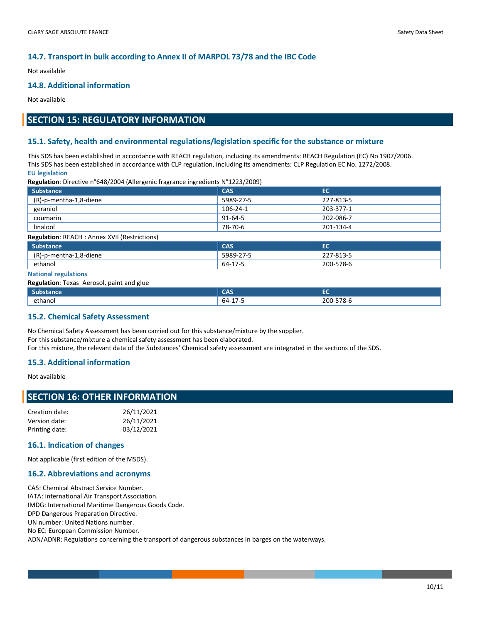#### **14.7. Transport in bulk according to Annex II of MARPOL 73/78 and the IBC Code**

Not available

#### **14.8. Additional information**

Not available

# **SECTION 15: REGULATORY INFORMATION**

#### **15.1. Safety, health and environmental regulations/legislation specific for the substance or mixture**

This SDS has been established in accordance with REACH regulation, including its amendments: REACH Regulation (EC) No 1907/2006. This SDS has been established in accordance with CLP regulation, including its amendments: CLP Regulation EC No. 1272/2008. **EU legislation**

**Regulation**: Directive n°648/2004 (Allergenic fragrance ingredients N°1223/2009)

| <b>Substance</b>                                     | <b>CAS</b>    | EC        |  |
|------------------------------------------------------|---------------|-----------|--|
| (R)-p-mentha-1,8-diene                               | 5989-27-5     | 227-813-5 |  |
| geraniol                                             | 106-24-1      | 203-377-1 |  |
| coumarin                                             | $91 - 64 - 5$ | 202-086-7 |  |
| linalool                                             | 78-70-6       | 201-134-4 |  |
| <b>Regulation: REACH : Annex XVII (Restrictions)</b> |               |           |  |
| <b>Substance</b>                                     | <b>CAS</b>    | EC        |  |
| (R)-p-mentha-1,8-diene                               | 5989-27-5     | 227-813-5 |  |

#### **National regulations**

**Regulation**: Texas\_Aerosol, paint and glue

| <b>Substance</b> | ---<br>دہر                                                 | --<br>--  |
|------------------|------------------------------------------------------------|-----------|
| ethanol          | $\overline{\phantom{a}}$<br>64-<br>. .<br><b>L</b><br>- 33 | 200-578-6 |

#### **15.2. Chemical Safety Assessment**

No Chemical Safety Assessment has been carried out for this substance/mixture by the supplier. For this substance/mixture a chemical safety assessment has been elaborated. For this mixture, the relevant data of the Substances' Chemical safety assessment are integrated in the sections of the SDS.

ethanol 64-17-5 200-578-6

#### **15.3. Additional information**

Not available

#### **SECTION 16: OTHER INFORMATION**

| Creation date: | 26/11/2021 |
|----------------|------------|
| Version date:  | 26/11/2021 |
| Printing date: | 03/12/2021 |

#### **16.1. Indication of changes**

Not applicable (first edition of the MSDS).

#### **16.2. Abbreviations and acronyms**

CAS: Chemical Abstract Service Number. IATA: International Air Transport Association. IMDG: International Maritime Dangerous Goods Code. DPD Dangerous Preparation Directive. UN number: United Nations number. No EC: European Commission Number. ADN/ADNR: Regulations concerning the transport of dangerous substances in barges on the waterways.